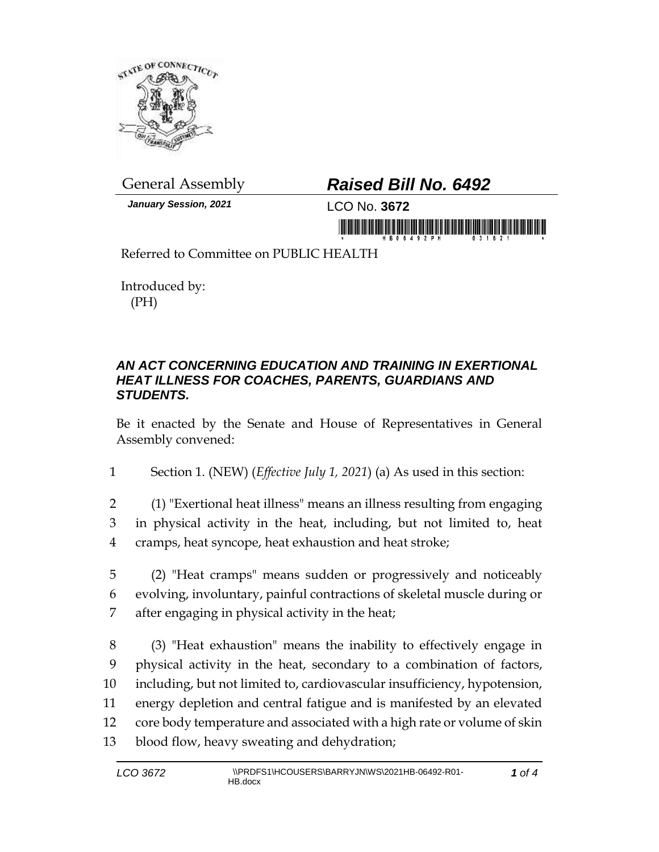

*January Session, 2021* LCO No. **3672**

## General Assembly *Raised Bill No. 6492*

in morning friends in home and in the morning

Referred to Committee on PUBLIC HEALTH

Introduced by: (PH)

## *AN ACT CONCERNING EDUCATION AND TRAINING IN EXERTIONAL HEAT ILLNESS FOR COACHES, PARENTS, GUARDIANS AND STUDENTS.*

Be it enacted by the Senate and House of Representatives in General Assembly convened:

1 Section 1. (NEW) (*Effective July 1, 2021*) (a) As used in this section:

- 2 (1) "Exertional heat illness" means an illness resulting from engaging 3 in physical activity in the heat, including, but not limited to, heat 4 cramps, heat syncope, heat exhaustion and heat stroke;
- 5 (2) "Heat cramps" means sudden or progressively and noticeably 6 evolving, involuntary, painful contractions of skeletal muscle during or 7 after engaging in physical activity in the heat;
- 8 (3) "Heat exhaustion" means the inability to effectively engage in 9 physical activity in the heat, secondary to a combination of factors, 10 including, but not limited to, cardiovascular insufficiency, hypotension, 11 energy depletion and central fatigue and is manifested by an elevated 12 core body temperature and associated with a high rate or volume of skin 13 blood flow, heavy sweating and dehydration;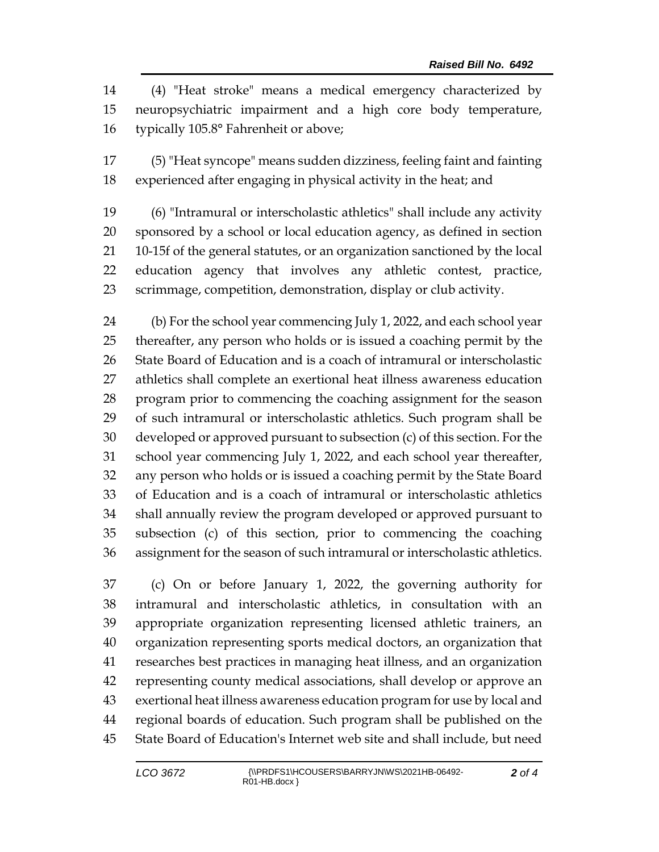(4) "Heat stroke" means a medical emergency characterized by neuropsychiatric impairment and a high core body temperature, typically 105.8° Fahrenheit or above;

 (5) "Heat syncope" means sudden dizziness, feeling faint and fainting experienced after engaging in physical activity in the heat; and

 (6) "Intramural or interscholastic athletics" shall include any activity sponsored by a school or local education agency, as defined in section 10-15f of the general statutes, or an organization sanctioned by the local education agency that involves any athletic contest, practice, scrimmage, competition, demonstration, display or club activity.

 (b) For the school year commencing July 1, 2022, and each school year thereafter, any person who holds or is issued a coaching permit by the State Board of Education and is a coach of intramural or interscholastic athletics shall complete an exertional heat illness awareness education program prior to commencing the coaching assignment for the season of such intramural or interscholastic athletics. Such program shall be developed or approved pursuant to subsection (c) of this section. For the school year commencing July 1, 2022, and each school year thereafter, any person who holds or is issued a coaching permit by the State Board of Education and is a coach of intramural or interscholastic athletics shall annually review the program developed or approved pursuant to subsection (c) of this section, prior to commencing the coaching assignment for the season of such intramural or interscholastic athletics.

 (c) On or before January 1, 2022, the governing authority for intramural and interscholastic athletics, in consultation with an appropriate organization representing licensed athletic trainers, an organization representing sports medical doctors, an organization that researches best practices in managing heat illness, and an organization representing county medical associations, shall develop or approve an exertional heat illness awareness education program for use by local and regional boards of education. Such program shall be published on the State Board of Education's Internet web site and shall include, but need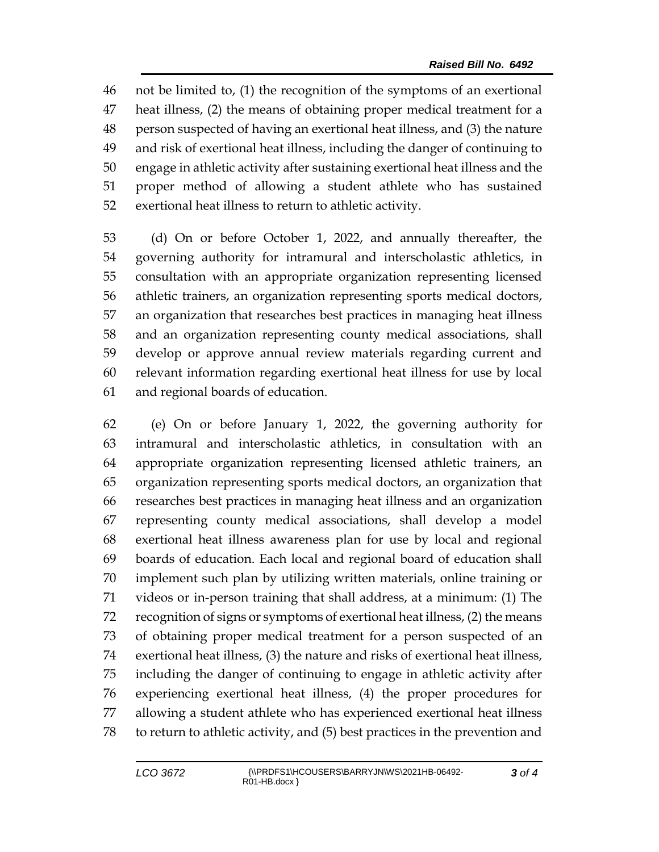not be limited to, (1) the recognition of the symptoms of an exertional heat illness, (2) the means of obtaining proper medical treatment for a person suspected of having an exertional heat illness, and (3) the nature and risk of exertional heat illness, including the danger of continuing to engage in athletic activity after sustaining exertional heat illness and the proper method of allowing a student athlete who has sustained exertional heat illness to return to athletic activity.

 (d) On or before October 1, 2022, and annually thereafter, the governing authority for intramural and interscholastic athletics, in consultation with an appropriate organization representing licensed athletic trainers, an organization representing sports medical doctors, an organization that researches best practices in managing heat illness and an organization representing county medical associations, shall develop or approve annual review materials regarding current and relevant information regarding exertional heat illness for use by local and regional boards of education.

 (e) On or before January 1, 2022, the governing authority for intramural and interscholastic athletics, in consultation with an appropriate organization representing licensed athletic trainers, an organization representing sports medical doctors, an organization that researches best practices in managing heat illness and an organization representing county medical associations, shall develop a model exertional heat illness awareness plan for use by local and regional boards of education. Each local and regional board of education shall implement such plan by utilizing written materials, online training or videos or in-person training that shall address, at a minimum: (1) The recognition of signs or symptoms of exertional heat illness, (2) the means of obtaining proper medical treatment for a person suspected of an exertional heat illness, (3) the nature and risks of exertional heat illness, including the danger of continuing to engage in athletic activity after experiencing exertional heat illness, (4) the proper procedures for allowing a student athlete who has experienced exertional heat illness to return to athletic activity, and (5) best practices in the prevention and